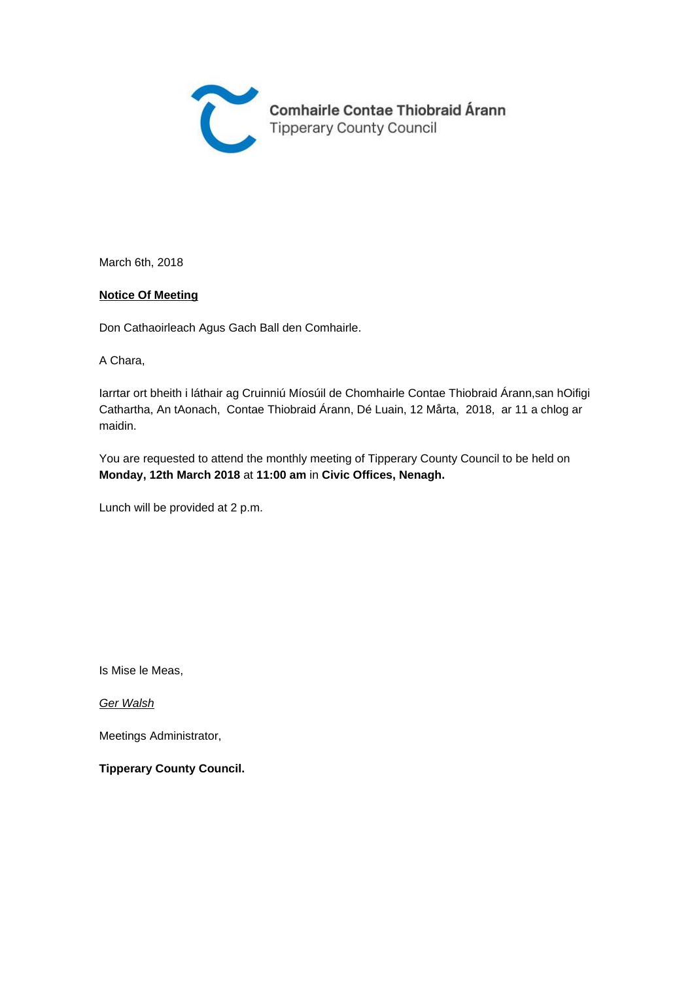

March 6th, 2018

#### **Notice Of Meeting**

Don Cathaoirleach Agus Gach Ball den Comhairle.

A Chara,

Iarrtar ort bheith i láthair ag Cruinniú Míosúil de Chomhairle Contae Thiobraid Árann,san hOifigi Cathartha, An tAonach, Contae Thiobraid Árann, Dé Luain, 12 Mårta, 2018, ar 11 a chlog ar maidin.

You are requested to attend the monthly meeting of Tipperary County Council to be held on **Monday, 12th March 2018** at **11:00 am** in **Civic Offices, Nenagh.** 

Lunch will be provided at 2 p.m.

Is Mise le Meas,

Ger Walsh

Meetings Administrator,

**Tipperary County Council.**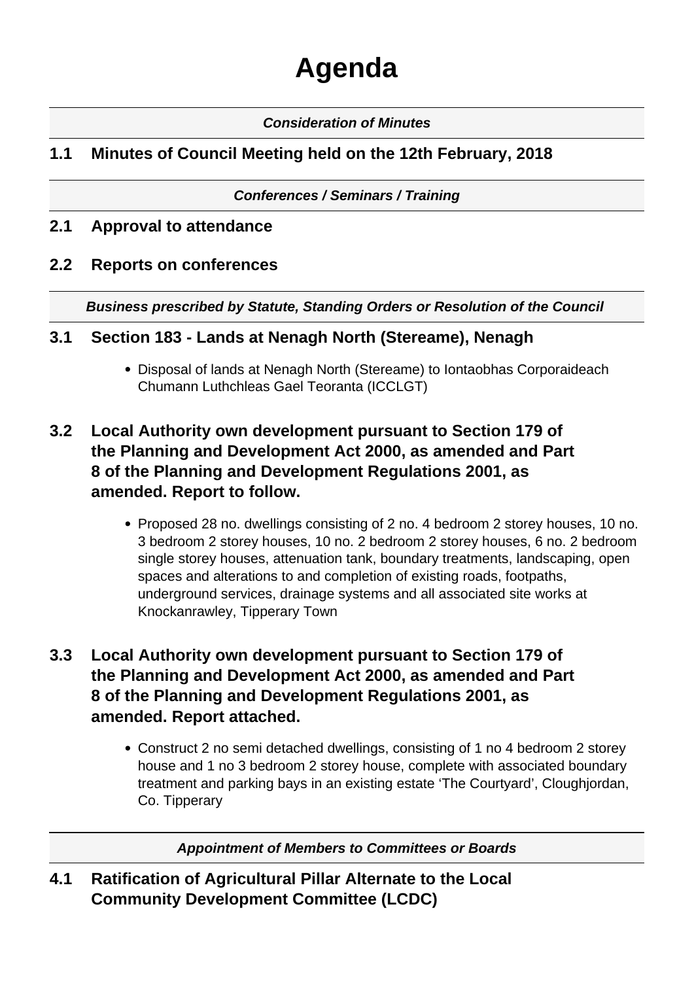# **Agenda**

### **Consideration of Minutes**

## **1.1 Minutes of Council Meeting held on the 12th February, 2018**

#### **Conferences / Seminars / Training**

## **2.1 Approval to attendance**

## **2.2 Reports on conferences**

**Business prescribed by Statute, Standing Orders or Resolution of the Council** 

## **3.1 Section 183 - Lands at Nenagh North (Stereame), Nenagh**

Disposal of lands at Nenagh North (Stereame) to Iontaobhas Corporaideach Chumann Luthchleas Gael Teoranta (ICCLGT)

## **3.2 Local Authority own development pursuant to Section 179 of the Planning and Development Act 2000, as amended and Part 8 of the Planning and Development Regulations 2001, as amended. Report to follow.**

Proposed 28 no. dwellings consisting of 2 no. 4 bedroom 2 storey houses, 10 no. 3 bedroom 2 storey houses, 10 no. 2 bedroom 2 storey houses, 6 no. 2 bedroom single storey houses, attenuation tank, boundary treatments, landscaping, open spaces and alterations to and completion of existing roads, footpaths, underground services, drainage systems and all associated site works at Knockanrawley, Tipperary Town

## **3.3 Local Authority own development pursuant to Section 179 of the Planning and Development Act 2000, as amended and Part 8 of the Planning and Development Regulations 2001, as amended. Report attached.**

Construct 2 no semi detached dwellings, consisting of 1 no 4 bedroom 2 storey house and 1 no 3 bedroom 2 storey house, complete with associated boundary treatment and parking bays in an existing estate 'The Courtyard', Cloughjordan, Co. Tipperary

**Appointment of Members to Committees or Boards**

**4.1 Ratification of Agricultural Pillar Alternate to the Local Community Development Committee (LCDC)**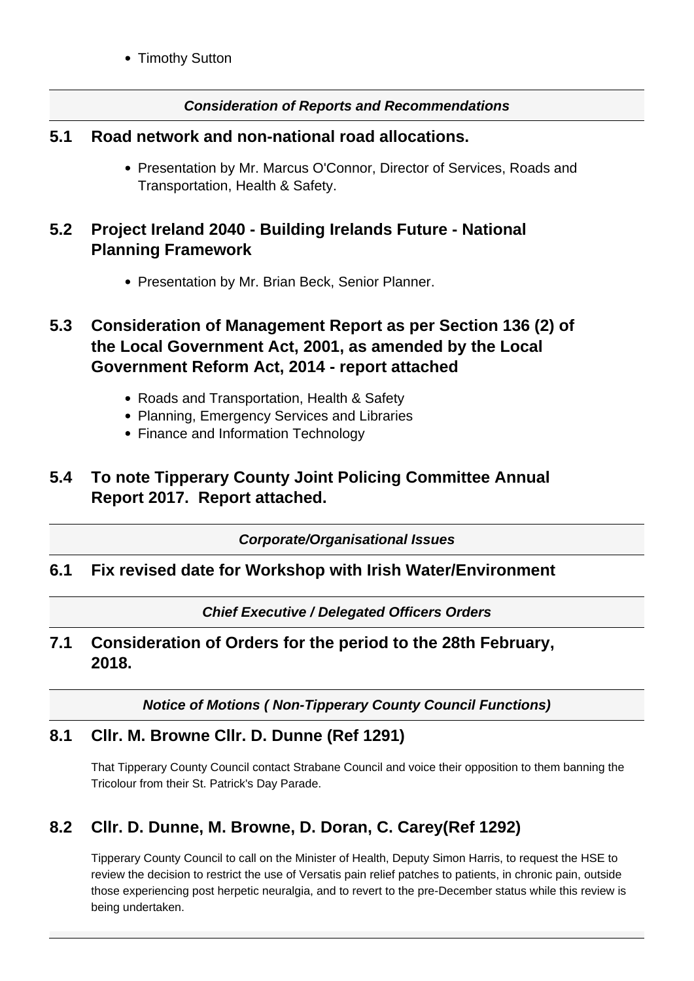• Timothy Sutton

#### **Consideration of Reports and Recommendations**

#### **5.1 Road network and non-national road allocations.**

• Presentation by Mr. Marcus O'Connor, Director of Services, Roads and Transportation, Health & Safety.

## **5.2 Project Ireland 2040 - Building Irelands Future - National Planning Framework**

• Presentation by Mr. Brian Beck, Senior Planner.

## **5.3 Consideration of Management Report as per Section 136 (2) of the Local Government Act, 2001, as amended by the Local Government Reform Act, 2014 - report attached**

- Roads and Transportation, Health & Safety
- Planning, Emergency Services and Libraries
- Finance and Information Technology

## **5.4 To note Tipperary County Joint Policing Committee Annual Report 2017. Report attached.**

**Corporate/Organisational Issues**

#### **6.1 Fix revised date for Workshop with Irish Water/Environment**

**Chief Executive / Delegated Officers Orders**

### **7.1 Consideration of Orders for the period to the 28th February, 2018.**

**Notice of Motions ( Non-Tipperary County Council Functions)**

## **8.1 Cllr. M. Browne Cllr. D. Dunne (Ref 1291)**

That Tipperary County Council contact Strabane Council and voice their opposition to them banning the Tricolour from their St. Patrick's Day Parade.

## **8.2 Cllr. D. Dunne, M. Browne, D. Doran, C. Carey(Ref 1292)**

Tipperary County Council to call on the Minister of Health, Deputy Simon Harris, to request the HSE to review the decision to restrict the use of Versatis pain relief patches to patients, in chronic pain, outside those experiencing post herpetic neuralgia, and to revert to the pre-December status while this review is being undertaken.